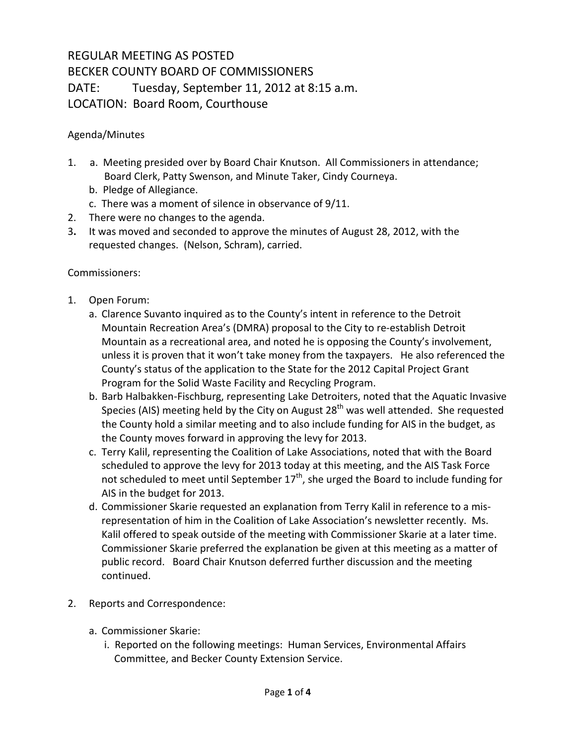## REGULAR MEETING AS POSTED BECKER COUNTY BOARD OF COMMISSIONERS DATE: Tuesday, September 11, 2012 at 8:15 a.m. LOCATION: Board Room, Courthouse

## Agenda/Minutes

- 1. a. Meeting presided over by Board Chair Knutson. All Commissioners in attendance; Board Clerk, Patty Swenson, and Minute Taker, Cindy Courneya.
	- b. Pledge of Allegiance.
	- c. There was a moment of silence in observance of 9/11.
- 2. There were no changes to the agenda.
- 3**.** It was moved and seconded to approve the minutes of August 28, 2012, with the requested changes. (Nelson, Schram), carried.

## Commissioners:

- 1. Open Forum:
	- a. Clarence Suvanto inquired as to the County's intent in reference to the Detroit Mountain Recreation Area's (DMRA) proposal to the City to re-establish Detroit Mountain as a recreational area, and noted he is opposing the County's involvement, unless it is proven that it won't take money from the taxpayers. He also referenced the County's status of the application to the State for the 2012 Capital Project Grant Program for the Solid Waste Facility and Recycling Program.
	- b. Barb Halbakken-Fischburg, representing Lake Detroiters, noted that the Aquatic Invasive Species (AIS) meeting held by the City on August  $28<sup>th</sup>$  was well attended. She requested the County hold a similar meeting and to also include funding for AIS in the budget, as the County moves forward in approving the levy for 2013.
	- c. Terry Kalil, representing the Coalition of Lake Associations, noted that with the Board scheduled to approve the levy for 2013 today at this meeting, and the AIS Task Force not scheduled to meet until September  $17<sup>th</sup>$ , she urged the Board to include funding for AIS in the budget for 2013.
	- d. Commissioner Skarie requested an explanation from Terry Kalil in reference to a misrepresentation of him in the Coalition of Lake Association's newsletter recently. Ms. Kalil offered to speak outside of the meeting with Commissioner Skarie at a later time. Commissioner Skarie preferred the explanation be given at this meeting as a matter of public record. Board Chair Knutson deferred further discussion and the meeting continued.
- 2. Reports and Correspondence:
	- a. Commissioner Skarie:
		- i. Reported on the following meetings: Human Services, Environmental Affairs Committee, and Becker County Extension Service.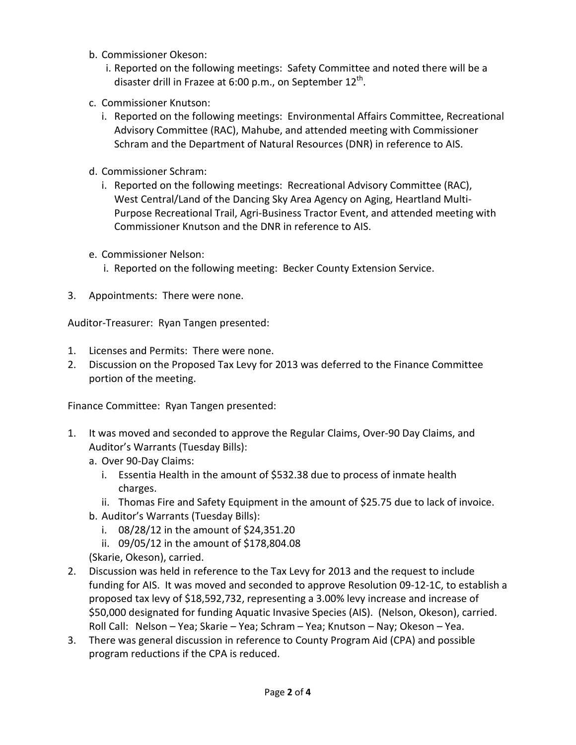- b. Commissioner Okeson:
	- i. Reported on the following meetings: Safety Committee and noted there will be a disaster drill in Frazee at 6:00 p.m., on September  $12^{\text{th}}$ .
- c. Commissioner Knutson:
	- i. Reported on the following meetings: Environmental Affairs Committee, Recreational Advisory Committee (RAC), Mahube, and attended meeting with Commissioner Schram and the Department of Natural Resources (DNR) in reference to AIS.
- d. Commissioner Schram:
	- i. Reported on the following meetings: Recreational Advisory Committee (RAC), West Central/Land of the Dancing Sky Area Agency on Aging, Heartland Multi-Purpose Recreational Trail, Agri-Business Tractor Event, and attended meeting with Commissioner Knutson and the DNR in reference to AIS.
- e. Commissioner Nelson:
	- i. Reported on the following meeting: Becker County Extension Service.
- 3. Appointments: There were none.

Auditor-Treasurer: Ryan Tangen presented:

- 1. Licenses and Permits: There were none.
- 2. Discussion on the Proposed Tax Levy for 2013 was deferred to the Finance Committee portion of the meeting.

Finance Committee: Ryan Tangen presented:

- 1. It was moved and seconded to approve the Regular Claims, Over-90 Day Claims, and Auditor's Warrants (Tuesday Bills):
	- a. Over 90-Day Claims:
		- i. Essentia Health in the amount of \$532.38 due to process of inmate health charges.
		- ii. Thomas Fire and Safety Equipment in the amount of \$25.75 due to lack of invoice.
	- b. Auditor's Warrants (Tuesday Bills):
		- i. 08/28/12 in the amount of \$24,351.20
		- ii. 09/05/12 in the amount of \$178,804.08
	- (Skarie, Okeson), carried.
- 2. Discussion was held in reference to the Tax Levy for 2013 and the request to include funding for AIS. It was moved and seconded to approve Resolution 09-12-1C, to establish a proposed tax levy of \$18,592,732, representing a 3.00% levy increase and increase of \$50,000 designated for funding Aquatic Invasive Species (AIS). (Nelson, Okeson), carried. Roll Call: Nelson – Yea; Skarie – Yea; Schram – Yea; Knutson – Nay; Okeson – Yea.
- 3. There was general discussion in reference to County Program Aid (CPA) and possible program reductions if the CPA is reduced.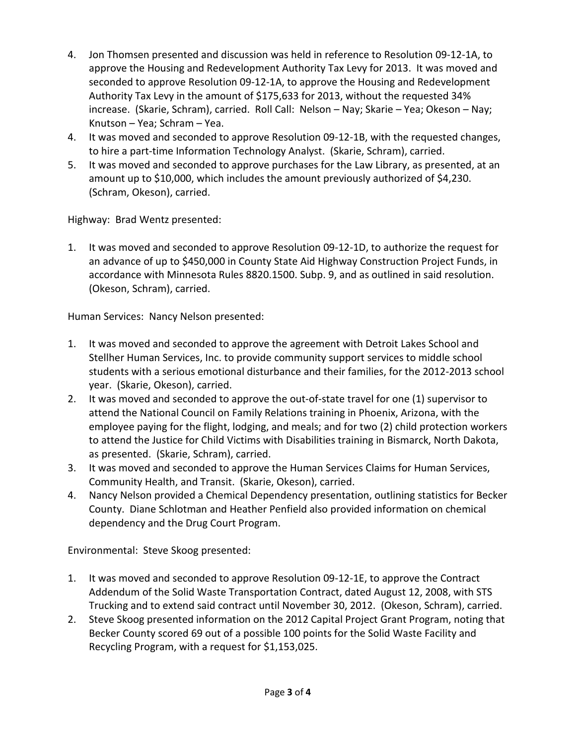- 4. Jon Thomsen presented and discussion was held in reference to Resolution 09-12-1A, to approve the Housing and Redevelopment Authority Tax Levy for 2013. It was moved and seconded to approve Resolution 09-12-1A, to approve the Housing and Redevelopment Authority Tax Levy in the amount of \$175,633 for 2013, without the requested 34% increase. (Skarie, Schram), carried. Roll Call: Nelson – Nay; Skarie – Yea; Okeson – Nay; Knutson – Yea; Schram – Yea.
- 4. It was moved and seconded to approve Resolution 09-12-1B, with the requested changes, to hire a part-time Information Technology Analyst. (Skarie, Schram), carried.
- 5. It was moved and seconded to approve purchases for the Law Library, as presented, at an amount up to \$10,000, which includes the amount previously authorized of \$4,230. (Schram, Okeson), carried.

Highway: Brad Wentz presented:

1. It was moved and seconded to approve Resolution 09-12-1D, to authorize the request for an advance of up to \$450,000 in County State Aid Highway Construction Project Funds, in accordance with Minnesota Rules 8820.1500. Subp. 9, and as outlined in said resolution. (Okeson, Schram), carried.

Human Services: Nancy Nelson presented:

- 1. It was moved and seconded to approve the agreement with Detroit Lakes School and Stellher Human Services, Inc. to provide community support services to middle school students with a serious emotional disturbance and their families, for the 2012-2013 school year. (Skarie, Okeson), carried.
- 2. It was moved and seconded to approve the out-of-state travel for one (1) supervisor to attend the National Council on Family Relations training in Phoenix, Arizona, with the employee paying for the flight, lodging, and meals; and for two (2) child protection workers to attend the Justice for Child Victims with Disabilities training in Bismarck, North Dakota, as presented. (Skarie, Schram), carried.
- 3. It was moved and seconded to approve the Human Services Claims for Human Services, Community Health, and Transit. (Skarie, Okeson), carried.
- 4. Nancy Nelson provided a Chemical Dependency presentation, outlining statistics for Becker County. Diane Schlotman and Heather Penfield also provided information on chemical dependency and the Drug Court Program.

Environmental: Steve Skoog presented:

- 1. It was moved and seconded to approve Resolution 09-12-1E, to approve the Contract Addendum of the Solid Waste Transportation Contract, dated August 12, 2008, with STS Trucking and to extend said contract until November 30, 2012. (Okeson, Schram), carried.
- 2. Steve Skoog presented information on the 2012 Capital Project Grant Program, noting that Becker County scored 69 out of a possible 100 points for the Solid Waste Facility and Recycling Program, with a request for \$1,153,025.